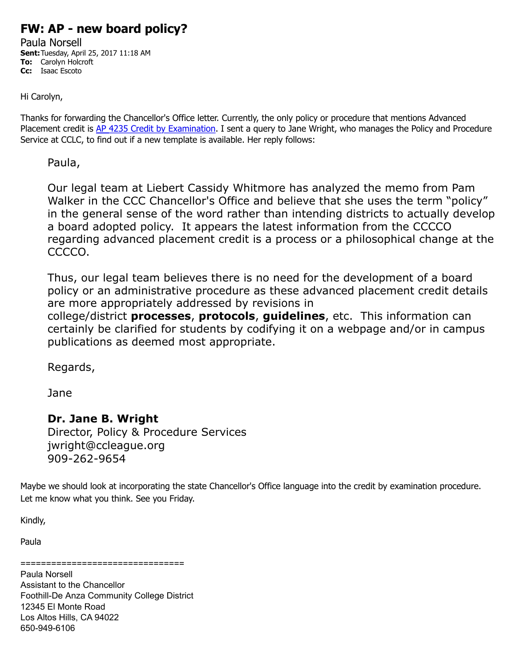# **FW: AP - new board policy?**

Paula Norsell **Sent:**Tuesday, April 25, 2017 11:18 AM **To:** Carolyn Holcroft **Cc:** Isaac Escoto

Hi Carolyn,

Thanks for forwarding the Chancellor's Office letter. Currently, the only policy or procedure that mentions Advanced Placement credit is [AP 4235 Credit by Examination.](https://email.fhda.edu/owa/redir.aspx?C=NucA6TFU3n_Yv4XufZ-ODV4xB3PZYay6etg2tnT7A6tYHaWbNIzUCA..&URL=http%3a%2f%2fwww.boarddocs.com%2fca%2ffhda%2fBoard.nsf%2fgoto%3fopen%26id%3d9U3REV6D29F5) I sent a query to Jane Wright, who manages the Policy and Procedure Service at CCLC, to find out if a new template is available. Her reply follows:

Paula,

Our legal team at Liebert Cassidy Whitmore has analyzed the memo from Pam Walker in the CCC Chancellor's Office and believe that she uses the term "policy" in the general sense of the word rather than intending districts to actually develop a board adopted policy. It appears the latest information from the CCCCO regarding advanced placement credit is a process or a philosophical change at the CCCCO.

Thus, our legal team believes there is no need for the development of a board policy or an administrative procedure as these advanced placement credit details are more appropriately addressed by revisions in

college/district **processes**, **protocols**, **guidelines**, etc. This information can certainly be clarified for students by codifying it on a webpage and/or in campus publications as deemed most appropriate.

Regards,

Jane

## **Dr. Jane B. Wright**

Director, Policy & Procedure Services jwright@ccleague.org 909-262-9654

Maybe we should look at incorporating the state Chancellor's Office language into the credit by examination procedure. Let me know what you think. See you Friday.

Kindly,

Paula

================================

Paula Norsell Assistant to the Chancellor Foothill-De Anza Community College District 12345 El Monte Road Los Altos Hills, CA 94022 650-949-6106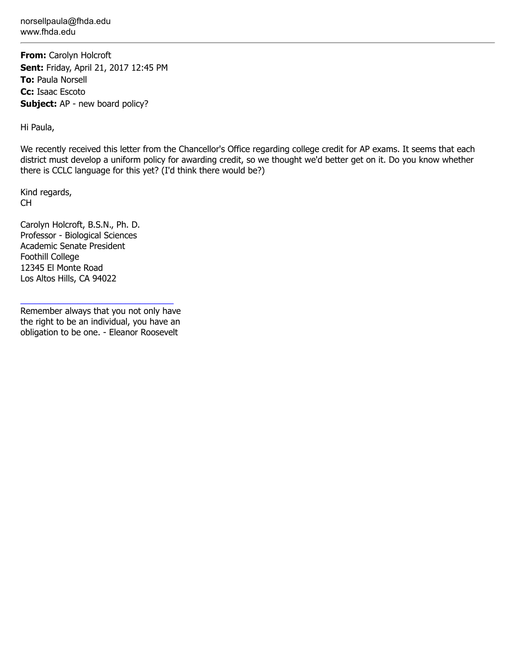norsellpaula@fhda.edu www.fhda.edu

**From:** Carolyn Holcroft **Sent:** Friday, April 21, 2017 12:45 PM **To:** Paula Norsell **Cc:** Isaac Escoto **Subject:** AP - new board policy?

Hi Paula,

We recently received this letter from the Chancellor's Office regarding college credit for AP exams. It seems that each district must develop a uniform policy for awarding credit, so we thought we'd better get on it. Do you know whether there is CCLC language for this yet? (I'd think there would be?)

Kind regards, CH

Carolyn Holcroft, B.S.N., Ph. D. Professor - Biological Sciences Academic Senate President Foothill College 12345 El Monte Road Los Altos Hills, CA 94022

Remember always that you not only have the right to be an individual, you have an obligation to be one. - Eleanor Roosevelt

\_\_\_\_\_\_\_\_\_\_\_\_\_\_\_\_\_\_\_\_\_\_\_\_\_\_\_\_\_\_\_\_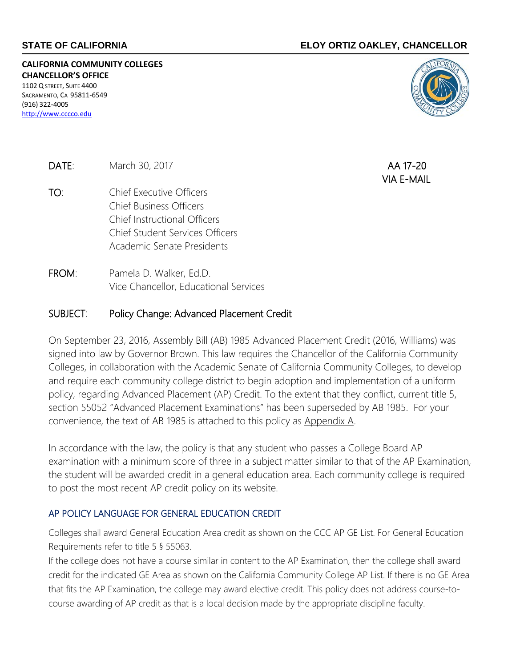### **STATE OF CALIFORNIA ELOY ORTIZ OAKLEY, CHANCELLOR**

**CALIFORNIA COMMUNITY COLLEGES CHANCELLOR'S OFFICE**

1102 Q STREET, SUITE 4400 SACRAMENTO, CA 95811-6549 (916) 322-4005 [http://www.cccco.edu](http://www.cccco.edu/)



**DATE:** March 30, 2017 **AA 17-20** 

- TO: Chief Executive Officers Chief Business Officers Chief Instructional Officers Chief Student Services Officers Academic Senate Presidents
- FROM: Pamela D. Walker, Ed.D. Vice Chancellor, Educational Services

#### SUBJECT: Policy Change: Advanced Placement Credit

On September 23, 2016, Assembly Bill (AB) 1985 Advanced Placement Credit (2016, Williams) was signed into law by Governor Brown. This law requires the Chancellor of the California Community Colleges, in collaboration with the Academic Senate of California Community Colleges, to develop and require each community college district to begin adoption and implementation of a uniform policy, regarding Advanced Placement (AP) Credit. To the extent that they conflict, current title 5, section 55052 "Advanced Placement Examinations" has been superseded by AB 1985. For your convenience, the text of AB 1985 is attached to this policy as Appendix A.

In accordance with the law, the policy is that any student who passes a College Board AP examination with a minimum score of three in a subject matter similar to that of the AP Examination, the student will be awarded credit in a general education area. Each community college is required to post the most recent AP credit policy on its website.

#### AP POLICY LANGUAGE FOR GENERAL EDUCATION CREDIT

Colleges shall award General Education Area credit as shown on the CCC AP GE List. For General Education Requirements refer to title 5 § 55063.

If the college does not have a course similar in content to the AP Examination, then the college shall award credit for the indicated GE Area as shown on the California Community College AP List. If there is no GE Area that fits the AP Examination, the college may award elective credit. This policy does not address course-tocourse awarding of AP credit as that is a local decision made by the appropriate discipline faculty.

VIA E-MAIL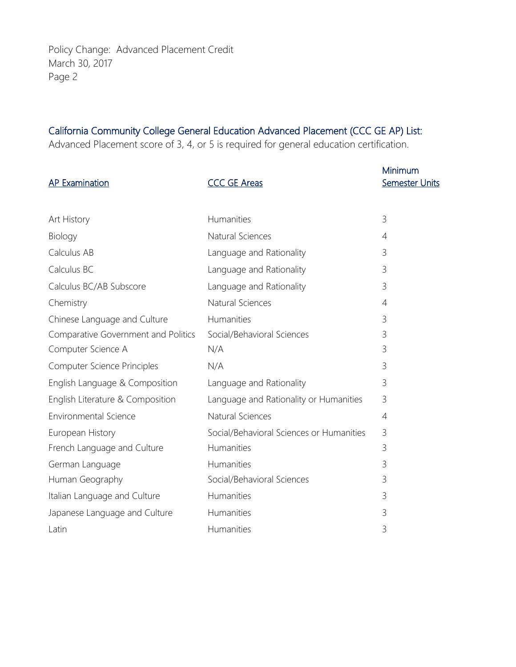Policy Change: Advanced Placement Credit March 30, 2017 Page 2

# California Community College General Education Advanced Placement (CCC GE AP) List:

Advanced Placement score of 3, 4, or 5 is required for general education certification.

| <b>AP Examination</b>               | <b>CCC GE Areas</b>                      | Minimum<br><b>Semester Units</b> |
|-------------------------------------|------------------------------------------|----------------------------------|
|                                     |                                          |                                  |
| Art History                         | Humanities                               | $\mathcal{E}$                    |
| Biology                             | Natural Sciences                         | 4                                |
| Calculus AB                         | Language and Rationality                 | 3                                |
| Calculus BC                         | Language and Rationality                 | 3                                |
| Calculus BC/AB Subscore             | Language and Rationality                 | 3                                |
| Chemistry                           | Natural Sciences                         | 4                                |
| Chinese Language and Culture        | Humanities                               | 3                                |
| Comparative Government and Politics | Social/Behavioral Sciences               | 3                                |
| Computer Science A                  | N/A                                      | 3                                |
| Computer Science Principles         | N/A                                      | 3                                |
| English Language & Composition      | Language and Rationality                 | 3                                |
| English Literature & Composition    | Language and Rationality or Humanities   | 3                                |
| <b>Environmental Science</b>        | Natural Sciences                         | 4                                |
| European History                    | Social/Behavioral Sciences or Humanities | 3                                |
| French Language and Culture         | Humanities                               | 3                                |
| German Language                     | Humanities                               | 3                                |
| Human Geography                     | Social/Behavioral Sciences               | 3                                |
| Italian Language and Culture        | Humanities                               | 3                                |
| Japanese Language and Culture       | Humanities                               | 3                                |
| Latin                               | Humanities                               | 3                                |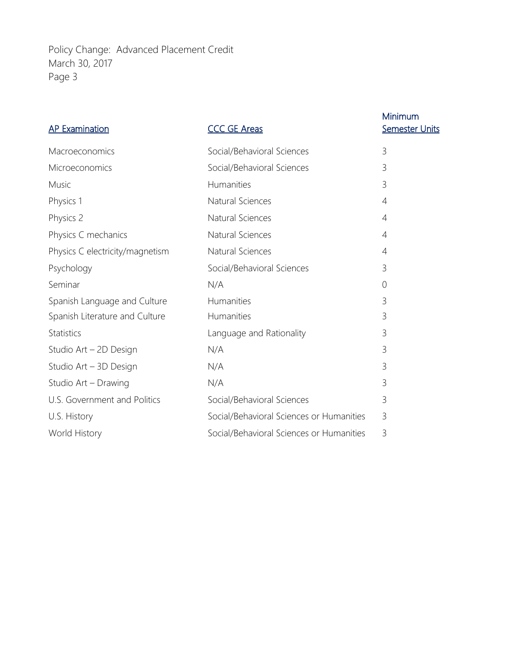Policy Change: Advanced Placement Credit March 30, 2017 Page 3

| <b>AP Examination</b>           | <b>CCC GE Areas</b>                      | Minimum<br><b>Semester Units</b> |
|---------------------------------|------------------------------------------|----------------------------------|
| Macroeconomics                  | Social/Behavioral Sciences               | 3                                |
| Microeconomics                  | Social/Behavioral Sciences               | 3                                |
| Music                           | Humanities                               | $\mathcal{E}$                    |
| Physics 1                       | Natural Sciences                         | $\overline{4}$                   |
| Physics 2                       | Natural Sciences                         | 4                                |
| Physics C mechanics             | Natural Sciences                         | 4                                |
| Physics C electricity/magnetism | Natural Sciences                         | 4                                |
| Psychology                      | Social/Behavioral Sciences               | 3                                |
| Seminar                         | N/A                                      | $\overline{0}$                   |
| Spanish Language and Culture    | Humanities                               | 3                                |
| Spanish Literature and Culture  | Humanities                               | 3                                |
| <b>Statistics</b>               | Language and Rationality                 | 3                                |
| Studio Art - 2D Design          | N/A                                      | 3                                |
| Studio Art - 3D Design          | N/A                                      | 3                                |
| Studio Art - Drawing            | N/A                                      | $\mathcal{E}$                    |
| U.S. Government and Politics    | Social/Behavioral Sciences               | 3                                |
| U.S. History                    | Social/Behavioral Sciences or Humanities | 3                                |
| World History                   | Social/Behavioral Sciences or Humanities | 3                                |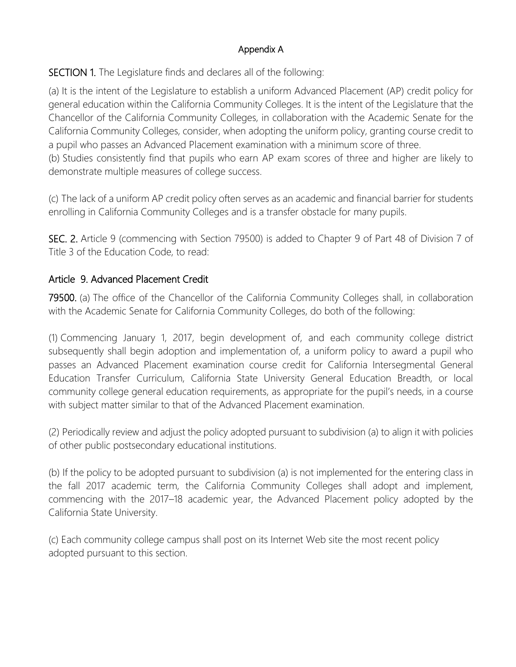# Appendix A

SECTION 1. The Legislature finds and declares all of the following:

(a) It is the intent of the Legislature to establish a uniform Advanced Placement (AP) credit policy for general education within the California Community Colleges. It is the intent of the Legislature that the Chancellor of the California Community Colleges, in collaboration with the Academic Senate for the California Community Colleges, consider, when adopting the uniform policy, granting course credit to a pupil who passes an Advanced Placement examination with a minimum score of three. (b) Studies consistently find that pupils who earn AP exam scores of three and higher are likely to demonstrate multiple measures of college success.

(c) The lack of a uniform AP credit policy often serves as an academic and financial barrier for students enrolling in California Community Colleges and is a transfer obstacle for many pupils.

SEC. 2. Article 9 (commencing with Section 79500) is added to Chapter 9 of Part 48 of Division 7 of Title 3 of the Education Code, to read:

# Article 9. Advanced Placement Credit

79500. (a) The office of the Chancellor of the California Community Colleges shall, in collaboration with the Academic Senate for California Community Colleges, do both of the following:

(1) Commencing January 1, 2017, begin development of, and each community college district subsequently shall begin adoption and implementation of, a uniform policy to award a pupil who passes an Advanced Placement examination course credit for California Intersegmental General Education Transfer Curriculum, California State University General Education Breadth, or local community college general education requirements, as appropriate for the pupil's needs, in a course with subject matter similar to that of the Advanced Placement examination.

(2) Periodically review and adjust the policy adopted pursuant to subdivision (a) to align it with policies of other public postsecondary educational institutions.

(b) If the policy to be adopted pursuant to subdivision (a) is not implemented for the entering class in the fall 2017 academic term, the California Community Colleges shall adopt and implement, commencing with the 2017–18 academic year, the Advanced Placement policy adopted by the California State University.

(c) Each community college campus shall post on its Internet Web site the most recent policy adopted pursuant to this section.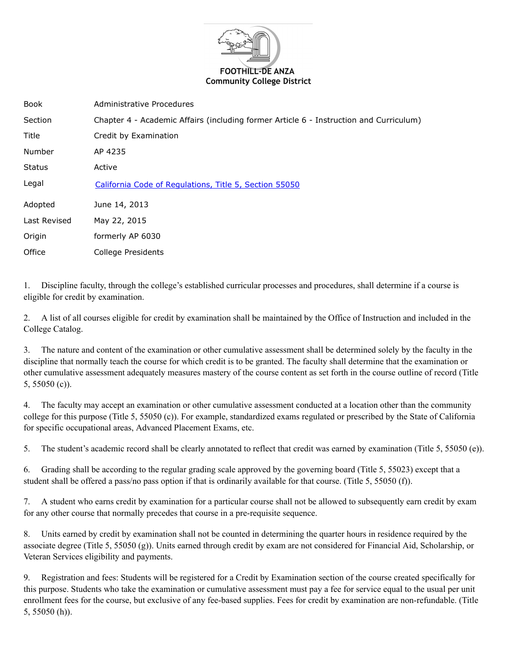

| <b>Book</b>   | Administrative Procedures                                                              |
|---------------|----------------------------------------------------------------------------------------|
| Section       | Chapter 4 - Academic Affairs (including former Article 6 - Instruction and Curriculum) |
| Title         | Credit by Examination                                                                  |
| Number        | AP 4235                                                                                |
| <b>Status</b> | Active                                                                                 |
| Legal         | California Code of Regulations, Title 5, Section 55050                                 |
| Adopted       | June 14, 2013                                                                          |
| Last Revised  | May 22, 2015                                                                           |
| Origin        | formerly AP 6030                                                                       |
| Office        | College Presidents                                                                     |

1. Discipline faculty, through the college's established curricular processes and procedures, shall determine if a course is eligible for credit by examination.

2. A list of all courses eligible for credit by examination shall be maintained by the Office of Instruction and included in the College Catalog.

3. The nature and content of the examination or other cumulative assessment shall be determined solely by the faculty in the discipline that normally teach the course for which credit is to be granted. The faculty shall determine that the examination or other cumulative assessment adequately measures mastery of the course content as set forth in the course outline of record (Title 5, 55050 (c)).

4. The faculty may accept an examination or other cumulative assessment conducted at a location other than the community college for this purpose (Title 5, 55050 (c)). For example, standardized exams regulated or prescribed by the State of California for specific occupational areas, Advanced Placement Exams, etc.

5. The student's academic record shall be clearly annotated to reflect that credit was earned by examination (Title 5, 55050 (e)).

6. Grading shall be according to the regular grading scale approved by the governing board (Title 5, 55023) except that a student shall be offered a pass/no pass option if that is ordinarily available for that course. (Title 5, 55050 (f)).

7. A student who earns credit by examination for a particular course shall not be allowed to subsequently earn credit by exam for any other course that normally precedes that course in a pre-requisite sequence.

8. Units earned by credit by examination shall not be counted in determining the quarter hours in residence required by the associate degree (Title 5, 55050 (g)). Units earned through credit by exam are not considered for Financial Aid, Scholarship, or Veteran Services eligibility and payments.

9. Registration and fees: Students will be registered for a Credit by Examination section of the course created specifically for this purpose. Students who take the examination or cumulative assessment must pay a fee for service equal to the usual per unit enrollment fees for the course, but exclusive of any fee-based supplies. Fees for credit by examination are non-refundable. (Title 5, 55050 (h)).